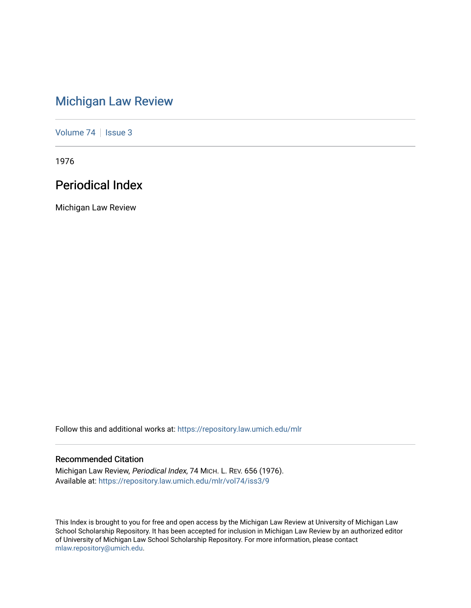# [Michigan Law Review](https://repository.law.umich.edu/mlr)

[Volume 74](https://repository.law.umich.edu/mlr/vol74) | [Issue 3](https://repository.law.umich.edu/mlr/vol74/iss3)

1976

# Periodical Index

Michigan Law Review

Follow this and additional works at: [https://repository.law.umich.edu/mlr](https://repository.law.umich.edu/mlr?utm_source=repository.law.umich.edu%2Fmlr%2Fvol74%2Fiss3%2F9&utm_medium=PDF&utm_campaign=PDFCoverPages) 

### Recommended Citation

Michigan Law Review, Periodical Index, 74 MICH. L. REV. 656 (1976). Available at: [https://repository.law.umich.edu/mlr/vol74/iss3/9](https://repository.law.umich.edu/mlr/vol74/iss3/9?utm_source=repository.law.umich.edu%2Fmlr%2Fvol74%2Fiss3%2F9&utm_medium=PDF&utm_campaign=PDFCoverPages)

This Index is brought to you for free and open access by the Michigan Law Review at University of Michigan Law School Scholarship Repository. It has been accepted for inclusion in Michigan Law Review by an authorized editor of University of Michigan Law School Scholarship Repository. For more information, please contact [mlaw.repository@umich.edu.](mailto:mlaw.repository@umich.edu)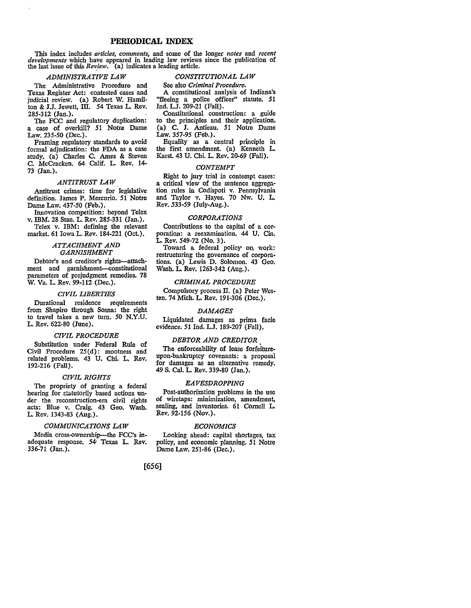### **PERIODICAL INDEX**

This index includes *articles, comments,* and some of the longer *notes* and *recent developments* which have appeared in leading law reviews since the publication of the last issue of this *Review*. (a) indicates a leading article.

#### *ADMINISTRATIVE LAW*

The Administrative Procedure and Texas Register Act: contested cases and judicial review. (a) Robert W. Hamilton & J.J. Jewett, III. *54* Texas L. Rev. 285-312 (Jan.).

The FCC and regulatory duplication: a case of overkill? 51 Notre Dame Law. 235-50 (Dec.).

Framing regulatory standards to avoid formal adjudication: the FDA as a case study. (a) Charles C. Ames & Steven C. McCracken. 64 Calif. L. Rev. 14- 73 (Jan.).

#### *ANTITRUST LAW*

Antitrust crimes: time for legislative definition. James P. Mercurio. 51 Notre Dame Law. 437-50 (Feb.).

Innovation competition: beyond Telex v. IBM. 28 Stan. L. Rev. 285-331 (Jan.). Telex v. IBM: defining the relevant

market. 61 Iowa L. Rev. 184-221 (Oct.).

#### *ATTACHMENT AND GARNISHMENT*

Debtor's and creditor's rights-attachment and garnishment-constitutional parameters of prejudgment remedies. 78 W. Va. L. Rev. 99-112 (Dec.).

#### *CIVIL LIBERTIES*

Durational residence requirements from Shapiro through Sosna: the right to travel takes a new tum. 50 N.Y.U. L. Rev. 622-80 (June).

#### *CIVIL PROCEDURE*

Substitution under Federal Rule of Civil Procedure 25(d): mootness and related problems. 43 U. Chi. L. Rev. 192-216 (Fall).

#### *CIVIL RIGHTS*

The propriety of granting a federal bearing for etatutorily based actions under the reconstruction-era civil rights acts: Blue v. Craig. 43 Geo. Wash. L. Rev. 1343-83 (Aug.).

#### *COMMUNICATIONS LAW*

Media cross-ownership---the FCC's inadequate response. 54' Texas L. Rev. 336-71 (Jan.).

### *CONSTITUTIONAL LAW*

See also *Criminal Procedure.*  A constitutional analysis of Indiana's "fleeing a police officer" statute, **51**  Ind. LJ. 209-21 (Fall),

Constitutional construction: a guide to the principles and their application, (a) **C. J.** Antieau. 51 Notre Dame Law. 357-95 (Feb.).

Equality as a central principle in the first amendment. (a) Kenneth L. Karst. 43 U. Chi. L. Rev. 20-69 (Fall),

#### *CONTEMPT*

Right to jury trial in contempt cases: a critical view of the sentence aggregation rules in Codispoti v. Pennsylvania and Taylor v. Hayes. 70 Nw. U. L. Rev. 533-59 (July-Aug.).

#### *CORPORATIONS*

Contributions to the capital of a corporation: a reexamination. 44 U. Cin. L. Rev. 549-72 (No. 3).

Toward a federal policy on work: restructuring the governance of corporations. (a) Lewis D. Solomon. 43 Geo. Wash. L. Rev. 1263-342 (Aug.).

#### *CRIMINAL PROCEDURE*

Compulsory process II. (a) Peter Westen, 74 Mich. L. Rev. 191-306 (Dec.),

#### *DAMAGES*

Liquidated damages as prima facie evidence. 51 Ind. L.J. 189-207 (Fall).

#### *DEBTOR AND CREDITOR*

The enforceability of lease forfeitureupon-bankruptcy covenants: a proposal for damages as an alternative remedy. 49 S. Cal. L. Rev. 339-80 (Jan.),

#### *EAVESDROPPING*

Post-authorization problems in the use of wiretaps: minimization, amendment, sealing, and inventories. 61 Cornell L. Rev, 92-156 (Nov.).

#### *ECONOMICS*

Looking ahead: capital shortages, tax policy, and economic planning. 51 Notre Dame Law. 251-86 (Dec.),

### [656]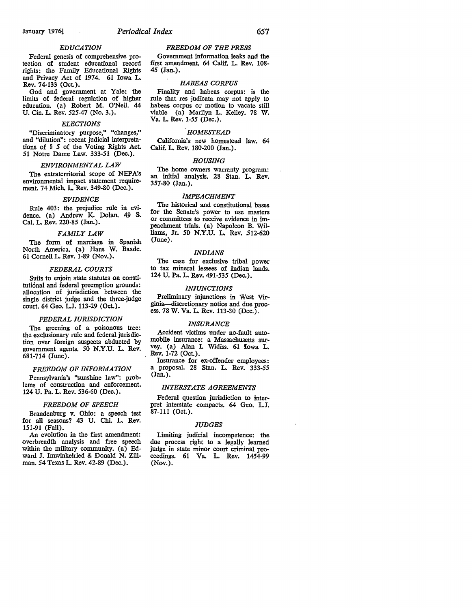Rev. 74-133 (Oct.).

Cal. L. Rev. 220-85 (Jan.).

681-714 (June).

151-91 (Fall).

*FAMILY LAW*  The form of marriage in Spanish North America. (a) Hans W. Baade. 61 Cornell L. Rev. 1-89 (Nov.).

*FEDERAL COURTS*  Suits to enjoin state statutes on constitutional and federal preemption grounds: allocation of jurisdiction between the single district judge and the three-judge court. 64 Geo. L.J. 113-29 (Oct.).

*FEDERAL JURISDICTION*  The greening of a poisonous tree: the exclusionary rule and federal jurisdiction over foreign suspects abducted by government agents. 50 N.Y.U. L. Rev.

*FREEDOM OF INFORMATION*  Pennsylvania's "sunshine law": problems of construction and enforcement. 124 U. Pa. L. Rev. 536-60 (Dec.).

*FREEDOM OF SPEECH*  Brandenburg v. Ohio: a speech test for all seasons? 43 U. Chi. L. Rev.

An evolution in the first amendment: overbreadth analysis and free speech within the military community. (a) Edward J. Imwinkelried & Donald N. Zillman. 54 Texas L. Rev. 42-89 (Dec.).

*EDUCATION*  Federal genesis of comprehensive protection of student educational record rights: the Family Educational Rights and Privacy Act of 1974. 61 Iowa L.

God and government at Yale: the limits of federal regulation of higher education. (a) Robert M. O'Neil. 44 U. Cin. L. Rev. 525-47 (No. 3.).

*ELECTIONS*  "Discriminatory purpose," "changes," and "dilution": recent judicial interpretations of § *5* of the Voting Rights Act. 51 Notre Dame Law. 333-51 (Dec.). *ENVIRONMENTAL LAW*  The extraterritorial scope of NEPA's environmental impact statement requirement. 74 Mich. L. Rev. 349-80 (Dec.). *EVIDENCE*  Rule 403: the prejudice rule in evidence. (a) Andrew K. Dolan. 49 S.

#### *FREEDOM OF THE PRESS*

Government information leaks and the first amendment. 64 Calif. L. Rev. 108- 45 (Jan.).

#### *HABEAS CORPUS*

Finality and habeas corpus: is the rule that res judicata may not apply to habeas corpus or motion to vacate still viable (a) Marilyn L. Kelley. 78 W. Va. L. Rev. 1-55 (Dec.).

#### *HOMESTEAD*

California's new homestead law. 64 Calif. L. Rev. 180-200 (Jan.).

#### *HOUSING*

The home owners warranty program: an initial analysis. 28 Stan. L. Rev. 357-80 (Jan.).

#### *IMPEACHMENT*

The historical and constitutional bases<br>for the Senate's power to use masters or committees to receive evidence in impeachment trials. (a) Napoleon B. Williams, Jr. 50 N.Y.U. L. Rev. 512-620 (June).

#### *INDIAN&*

The case for exclusive tribal power to tax mineral lessees of Indian lands. 124 U. Pa. L. Rev. 491-535 (Dec.).

#### *IN/UNCTIONS*

Preliminary injunctions in West Virginia--discretionary notice and due process. 78 W. Va. L. Rev. 113-30 (Dec.).

#### *INSURANCE*

Accident victims under no-fault auto-<br>mobile insurance: a Massachusetts survey. (a) Alan I. Widiss. 61 Iowa L. Rev. 1-72 (Oct.).<br>Insurance for ex-offender employees:

a proposal. 28 Stan. L. Rev. 333-55 (Jan.).

#### *INTERSTATE AGREEMENTS*

Federal question jurisdiction to interpret interstate compacts. 64 Geo. L.J. 87-111 (Oct.).

#### *JUDGES*

Limiting judicial incompetence: the due process right to a legally learned judge in state minor court criminal proceedings. 61 Va. L. Rev. 1454-99 **(Nov.).**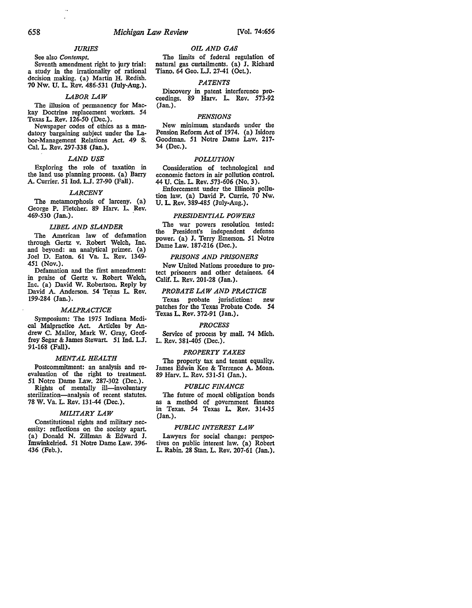#### *JURIES*

See also *Contempt*.<br>Seventh amendment right to jury trial: a study in the irrationality of rational decision making. (a) Martin H. Redish. 70 Nw. U. L. Rev. 486-531 (July-Aug.).

#### *LABOR LAW*

The illusion of permanency for Mackay Doctrine replacement workers. *54*  Texas L. Rev. 126-50 (Dec.).

Newspaper codes of ethics as a mandatory bargaining subject under the Labor-Management Relations Act. 49- S. Cal. L. Rev. 297-338 (Jan.).

#### *LAND USE*

Exploring the role of taxation in the land use planning process. (a) Barry A. Currier.  $5\overline{1}$  Ind. L.J. 27-90 (Fall).

#### *LARCENY*

The metamorphosis of larceny. (a) George P. Fletcher. 89 Harv. L. Rev.  $469 - 530$  (Jan.).

#### *UBEL AND SLANDER*

The American law of defamation through Gertz v. Robert Welch, Inc. and beyond: an analytical primer. {a) Joel D. Eaton. 61 Va. L. Rev. 1349- 451 (Nov.).

Defamation and the first amendment: in praise of Gertz v. Robert Welch, Inc. (a) David W. Robertson. Reply by David A. Anderson. 54 Texas L. Rev. 199-284 (Jan.).

#### *MALPRACTICE*

Symposium: The 1975 Indiana Medical Malpractice Act. Articles by Andrew C. Mallor, Mark W. Gray, Geoffrey Segar & James Stewart. 51 Ind. L.J. 91-168 (Fall).

#### *MENTAL HEALTH*

Postcommitment: an analysis and reevaluation of the right to treatment. **51** Notre Dame Law. 287-302 (Dec.).

Rights of mentally ill-involuntary sterilization-analysis of recent statutes. 78 W. Va. L. Rev. 131-44 (Dec.).

#### *MILITARY LAW*

Constitutional rights and military necessity: reflections on the society apart. (a) Donald N. Zillman & Edward J. Imwinkelried. 51 Notre Dame Law. 396- 436 (Feb.).

#### *OIL AND GAS*

The limits of federal regulation of natural gas curtailments. (a) J. Richard Tiano. 64 Geo. L.J. 27-41 (Oct.).

#### *PATENTS*

Discovery in patent interference proceedings. 89 Harv. L. Rev. 573-92 (Jan.).

#### *PENSIONS*

New minimum standards under the Pension Reform Act of 1974. (a) Isidore Goodman. 51 Notre Dame Law. 217- 34 (Dec.).

#### *POLLUTION*

Consideration of technological and economic factors in air pollution control. 44 U. Cin. L. Rev. 573-606 (No. 3 ).

Enforcement under the Illinois pollution law. (a) David P. Currie. 70 Nw. U. L. Rev. 389-485 (July-Aug.),

#### *PRESIDENTIAL POWERS*

The war powers resolution tested:<br>the President's independent defense President's independent defense power. (a) J. Terry Emerson. 51 Notre Dame Law. 187-216 (Dec.).

#### *PRISONS AND PRISONERS*

New United Nations procedure to protect prisoners and other detainees. 64 Calif. L. Rev. 201-28 (Jan.).

#### *PROBATE LAW AND PRACTICE*

Texas probate jurisdiction: new patches for the Texas Probate Code. 54 Texas L. Rev. 372-91 (Jan.).

#### *PROCESS*

Service of process by mail. 74 Mich. L. Rev. 381-405 (Dec.).

#### *PROPERTY TAXES*

The property tax and tenant equality. James Edwin Kee & Terrence A. Moan. 89 Harv. L. Rev. 531-51 (Jan.).

#### *PUBUC FINANCE*

The future of moral obligation bonds as a method of government finance in Texas. *54* Texas L. Rev. 314-35 (Jan.).

#### *PUBLIC INTEREST LAW*

Lawyers for social change: perspectives on public interest law. (a) Robert L. Rabin. 28 Stan. L. Rev. 207-61 (Jan.).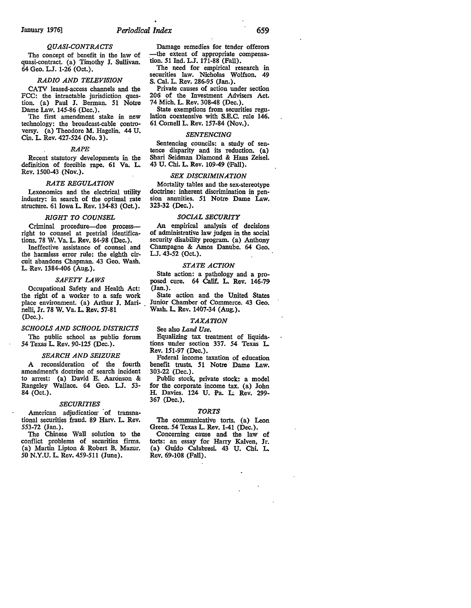## *QUASI-CONTRACTS*

The concept of benefit in the law of quasi-contract. (a) Timothy J. Sullivan. 64 Geo. LJ. 1-26 (Oct.).

#### **RADIO AND TELEVISION**

CATV leased-access channels and the FCC: the intractable jurisdiction question. (a) Paul J. Berman. 51 Notre

Dame Law. 145-86 (Dec.).<br>The first amendment stake in new technology: the broadcast-cable controversy. (a) Theodore M. Hagelin. 44 U. Cin. L. Rev. 427-524 (No. 3).

#### *RAPE*

Recent statutory developments in the definition of forcible rape. 61 Va. L. Rev. 1500-43 (Nov.).

#### *RATE REGULATION*

Lexonomics and the electrical utility industry: in search of the optimal rate structure. 61 Iowa L. Rev. 134-83 (Oct.).

#### *RIGHT TO COUNSEL*

Criminal procedure-due processright to counsel at pretrial identifications. 78 W. Va. L. Rev. 84-98 (Dec.).

Ineffective assistance of counsel \_ and the harmless error rule: the eighth circuit abandons Chapman. 43 Geo. Wash. L. Rev. 1384-406 (Aug.).

#### *SAFETY LAWS*

Occupational Safety and Health Act: the right of a worker to a safe work place environment. (a) Arthur J. Mari- . nelli, Jr. 78 W. Va. L. Rev. 57-81 (Dec.).

#### *SCHOOLS AND SCHOOL DISTRICTS*

The public school as publio forum *54* Texas L Rev. 90-125 (Dec.).

#### *SEARCH AND SEIZURE*

A reconsideration of the fourth amendment's doctrine of search incident to arrest: (a) David E. Aaronson & Rangeley Wallace. 64 Geo. L.J. 53- 84 (Oct.).

#### *SECURITIES*

American adjudication of transnational securities fraud. 89 Harv. L. Rev. 553-72 (Jan.).

The Chinese Wall solution to the conflict problems of securities firms. (a) Martin Lipton & Robert B. Mazur. *50* N.Y.U. L. Rev. 459-511 (June).

Damage remedies for tender offerors -the extent of appropriate compensa tion. 51 Ind. L.J. 171-88 (Fall).

The need for empirical research in securities law. Nicholas Wolfson. 49 S. Cal. L. Rev. 286-95 (Jan.).

Private causes of action under section 206 of the Investment Advisers Act. 74 Mich. L. Rev. 308-48 (Dec.).

State exemptions from securities regulation coextensive with S.E.C. rule 146. 61 Cornell L. Rev. 157-84 (Nov.).

#### *SENTENCING*

Sentencing councils: a study of sentence disparity and its reduction. (a) Shari Seidman Diamond & Hans Zeise!. 43 U. Chi. L. Rev. 109-49 (Fall).

#### *SEX DISCRIMINATION*

Mortality tables and the sex-stereotype doctrine: inherent discrimination in pension annuities. 51 Notre Dame Law. 323-32 (Dec.).

#### *SOCIAL SECURITY*

An empirical analysis of decisions of administrative law judges in the social security disability program. (a) Anthony Champagne & Amos Danube. 64 Geo. L.J. 43-52 (Oct.).

#### *STATE ACTION*

State action: a pathology and a proposed cure. 64 Calif. L. Rev. 146-79 (Jan.).

State action and the United States Junior Chamber of Commerce. 43 Geo. Wash. L. Rev. 1407-34 (Aug.).

#### *TAXATION*

See also *Land Use.* 

Equalizing tax treatment of liquidations under section 337. *54* Texas L Rev. 151-97 (Dec.).

Federal income taxation of education benefit trusts. 51 Notre Dame Law. 303-22 (Dec.).

Public stock, private stock: a model for the corporate income tax. (a) John H. Davies. 124 U. Pa. L. Rev. 299-367 (Dec.).

#### *TORTS*

The communicative torts. (a) Leon Green. 54 Texas L. Rev. 1-41 (Dec.).

Concerning cause and the law of torts: an essay for Harry Kalven, Jr. (a) Guido Calabresi. 43 U. Chi. L Rev. 69-108 (Fall).